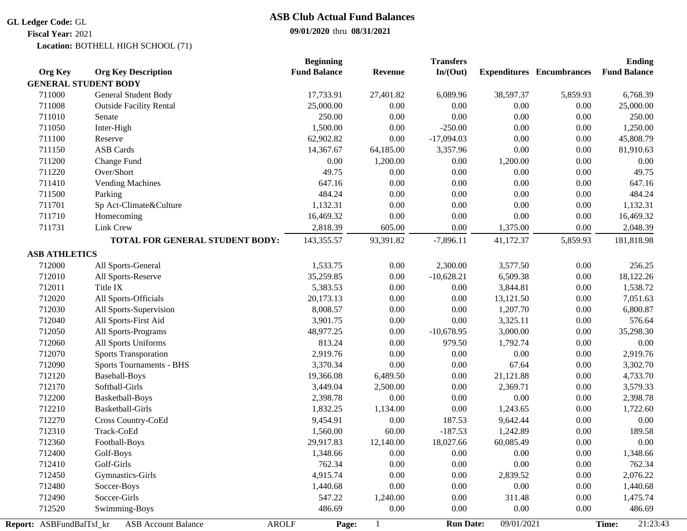### **GL Ledger Code:** GL

## **09/01/2020** thru **08/31/2021 ASB Club Actual Fund Balances**

**Fiscal Year:** 2021

BOTHELL HIGH SCHOOL (71) **Location:**

|                          |                                            | <b>Beginning</b>    |                | <b>Transfers</b> |            |                                  | <b>Ending</b>       |  |
|--------------------------|--------------------------------------------|---------------------|----------------|------------------|------------|----------------------------------|---------------------|--|
| <b>Org Key</b>           | <b>Org Key Description</b>                 | <b>Fund Balance</b> | <b>Revenue</b> | In/(Out)         |            | <b>Expenditures</b> Encumbrances | <b>Fund Balance</b> |  |
|                          | <b>GENERAL STUDENT BODY</b>                |                     |                |                  |            |                                  |                     |  |
| 711000                   | General Student Body                       | 17,733.91           | 27,401.82      | 6,089.96         | 38,597.37  | 5,859.93                         | 6,768.39            |  |
| 711008                   | <b>Outside Facility Rental</b>             | 25,000.00           | 0.00           | 0.00             | 0.00       | $0.00\,$                         | 25,000.00           |  |
| 711010                   | Senate                                     | 250.00              | $0.00\,$       | 0.00             | $0.00\,$   | $0.00\,$                         | 250.00              |  |
| 711050                   | Inter-High                                 | 1,500.00            | 0.00           | $-250.00$        | $0.00\,$   | $0.00\,$                         | 1,250.00            |  |
| 711100                   | Reserve                                    | 62,902.82           | $0.00\,$       | $-17,094.03$     | $0.00\,$   | 0.00                             | 45,808.79           |  |
| 711150                   | <b>ASB Cards</b>                           | 14,367.67           | 64,185.00      | 3,357.96         | $0.00\,$   | 0.00                             | 81,910.63           |  |
| 711200                   | Change Fund                                | 0.00                | 1,200.00       | 0.00             | 1,200.00   | $0.00\,$                         | 0.00                |  |
| 711220                   | Over/Short                                 | 49.75               | 0.00           | 0.00             | 0.00       | 0.00                             | 49.75               |  |
| 711410                   | <b>Vending Machines</b>                    | 647.16              | 0.00           | 0.00             | 0.00       | 0.00                             | 647.16              |  |
| 711500                   | Parking                                    | 484.24              | 0.00           | 0.00             | $0.00\,$   | $0.00\,$                         | 484.24              |  |
| 711701                   | Sp Act-Climate&Culture                     | 1,132.31            | 0.00           | $0.00\,$         | $0.00\,$   | $0.00\,$                         | 1,132.31            |  |
| 711710                   | Homecoming                                 | 16,469.32           | 0.00           | $0.00\,$         | $0.00\,$   | $0.00\,$                         | 16,469.32           |  |
| 711731                   | Link Crew                                  | 2,818.39            | 605.00         | 0.00             | 1,375.00   | 0.00                             | 2,048.39            |  |
|                          | TOTAL FOR GENERAL STUDENT BODY:            | 143,355.57          | 93,391.82      | $-7,896.11$      | 41,172.37  | 5,859.93                         | 181,818.98          |  |
| <b>ASB ATHLETICS</b>     |                                            |                     |                |                  |            |                                  |                     |  |
| 712000                   | All Sports-General                         | 1,533.75            | 0.00           | 2,300.00         | 3,577.50   | 0.00                             | 256.25              |  |
| 712010                   | All Sports-Reserve                         | 35,259.85           | 0.00           | $-10,628.21$     | 6,509.38   | $0.00\,$                         | 18,122.26           |  |
| 712011                   | Title IX                                   | 5,383.53            | 0.00           | 0.00             | 3,844.81   | 0.00                             | 1,538.72            |  |
| 712020                   | All Sports-Officials                       | 20,173.13           | 0.00           | 0.00             | 13,121.50  | $0.00\,$                         | 7,051.63            |  |
| 712030                   | All Sports-Supervision                     | 8,008.57            | 0.00           | $0.00\,$         | 1,207.70   | $0.00\,$                         | 6,800.87            |  |
| 712040                   | All Sports-First Aid                       | 3,901.75            | $0.00\,$       | $0.00\,$         | 3,325.11   | $0.00\,$                         | 576.64              |  |
| 712050                   | All Sports-Programs                        | 48,977.25           | 0.00           | $-10,678.95$     | 3,000.00   | 0.00                             | 35,298.30           |  |
| 712060                   | All Sports Uniforms                        | 813.24              | 0.00           | 979.50           | 1,792.74   | $0.00\,$                         | 0.00                |  |
| 712070                   | <b>Sports Transporation</b>                | 2,919.76            | 0.00           | 0.00             | 0.00       | $0.00\,$                         | 2,919.76            |  |
| 712090                   | Sports Tournaments - BHS                   | 3,370.34            | 0.00           | 0.00             | 67.64      | 0.00                             | 3,302.70            |  |
| 712120                   | <b>Baseball-Boys</b>                       | 19,366.08           | 6,489.50       | 0.00             | 21,121.88  | 0.00                             | 4,733.70            |  |
| 712170                   | Softball-Girls                             | 3,449.04            | 2,500.00       | 0.00             | 2,369.71   | $0.00\,$                         | 3,579.33            |  |
| 712200                   | Basketball-Boys                            | 2,398.78            | 0.00           | $0.00\,$         | $0.00\,$   | $0.00\,$                         | 2,398.78            |  |
| 712210                   | Basketball-Girls                           | 1,832.25            | 1,134.00       | $0.00\,$         | 1,243.65   | $0.00\,$                         | 1,722.60            |  |
| 712270                   | Cross Country-CoEd                         | 9,454.91            | 0.00           | 187.53           | 9,642.44   | 0.00                             | 0.00                |  |
| 712310                   | Track-CoEd                                 | 1,560.00            | 60.00          | $-187.53$        | 1,242.89   | $0.00\,$                         | 189.58              |  |
| 712360                   | Football-Boys                              | 29,917.83           |                |                  | 60,085.49  | 0.00                             | 0.00                |  |
|                          |                                            |                     | 12,140.00      | 18,027.66        |            |                                  |                     |  |
| 712400                   | Golf-Boys                                  | 1,348.66            | 0.00           | $0.00\,$         | $0.00\,$   | 0.00                             | 1,348.66            |  |
| 712410                   | Golf-Girls                                 | 762.34              | 0.00           | 0.00             | $0.00\,$   | 0.00                             | 762.34              |  |
| 712450                   | Gymnastics-Girls                           | 4,915.74            | 0.00           | $0.00\,$         | 2,839.52   | 0.00                             | 2,076.22            |  |
| 712480                   | Soccer-Boys                                | 1,440.68            | 0.00           | 0.00             | 0.00       | 0.00                             | 1,440.68            |  |
| 712490                   | Soccer-Girls                               | 547.22              | 1,240.00       | 0.00             | 311.48     | 0.00                             | 1,475.74            |  |
| 712520                   | Swimming-Boys                              | 486.69              | 0.00           | 0.00             | $0.00\,$   | 0.00                             | 486.69              |  |
| Report: ASBFundBalTsf_kr | <b>ASB Account Balance</b><br><b>AROLF</b> | Page:               |                | <b>Run Date:</b> | 09/01/2021 |                                  | 21:23:43<br>Time:   |  |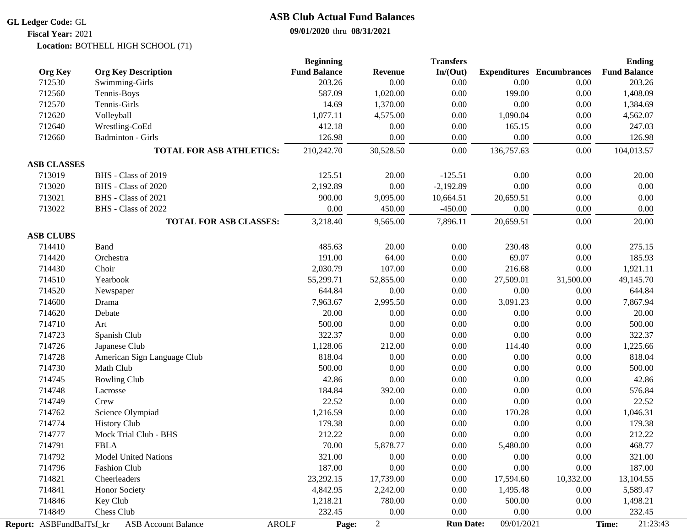#### **GL Ledger Code:** GL

## **09/01/2020** thru **08/31/2021 ASB Club Actual Fund Balances**

**Fiscal Year:** 2021

BOTHELL HIGH SCHOOL (71) **Location:**

|                          |                                              | <b>Beginning</b><br><b>Fund Balance</b> |                        | <b>Transfers</b> |            | <b>Expenditures</b> Encumbrances | <b>Ending</b><br><b>Fund Balance</b> |
|--------------------------|----------------------------------------------|-----------------------------------------|------------------------|------------------|------------|----------------------------------|--------------------------------------|
| <b>Org Key</b><br>712530 | <b>Org Key Description</b><br>Swimming-Girls | 203.26                                  | <b>Revenue</b><br>0.00 | In/(Out)<br>0.00 | 0.00       | 0.00                             | 203.26                               |
| 712560                   | Tennis-Boys                                  | 587.09                                  | 1,020.00               | 0.00             | 199.00     | 0.00                             | 1,408.09                             |
| 712570                   | Tennis-Girls                                 | 14.69                                   | 1,370.00               | 0.00             | 0.00       | $0.00\,$                         | 1,384.69                             |
| 712620                   | Volleyball                                   | 1,077.11                                | 4,575.00               | 0.00             | 1,090.04   | $0.00\,$                         | 4,562.07                             |
| 712640                   | Wrestling-CoEd                               | 412.18                                  | 0.00                   | $0.00\,$         | 165.15     | $0.00\,$                         | 247.03                               |
| 712660                   | Badminton - Girls                            | 126.98                                  | 0.00                   | 0.00             | 0.00       | 0.00                             | 126.98                               |
|                          |                                              |                                         |                        |                  |            |                                  |                                      |
|                          | <b>TOTAL FOR ASB ATHLETICS:</b>              | 210,242.70                              | 30,528.50              | 0.00             | 136,757.63 | 0.00                             | 104,013.57                           |
| <b>ASB CLASSES</b>       |                                              |                                         |                        |                  |            |                                  |                                      |
| 713019                   | BHS - Class of 2019                          | 125.51                                  | 20.00                  | $-125.51$        | 0.00       | 0.00                             | 20.00                                |
| 713020                   | BHS - Class of 2020                          | 2,192.89                                | 0.00                   | $-2,192.89$      | 0.00       | 0.00                             | 0.00                                 |
| 713021                   | BHS - Class of 2021                          | 900.00                                  | 9,095.00               | 10,664.51        | 20,659.51  | 0.00                             | 0.00                                 |
| 713022                   | BHS - Class of 2022                          | 0.00                                    | 450.00                 | $-450.00$        | $0.00\,$   | 0.00                             | 0.00                                 |
|                          | <b>TOTAL FOR ASB CLASSES:</b>                | 3,218.40                                | 9,565.00               | 7,896.11         | 20,659.51  | $0.00\,$                         | 20.00                                |
| <b>ASB CLUBS</b>         |                                              |                                         |                        |                  |            |                                  |                                      |
| 714410                   | Band                                         | 485.63                                  | 20.00                  | 0.00             | 230.48     | $0.00\,$                         | 275.15                               |
| 714420                   | Orchestra                                    | 191.00                                  | 64.00                  | 0.00             | 69.07      | 0.00                             | 185.93                               |
| 714430                   | Choir                                        | 2,030.79                                | 107.00                 | 0.00             | 216.68     | 0.00                             | 1,921.11                             |
| 714510                   | Yearbook                                     | 55,299.71                               | 52,855.00              | 0.00             | 27,509.01  | 31,500.00                        | 49,145.70                            |
| 714520                   | Newspaper                                    | 644.84                                  | 0.00                   | 0.00             | 0.00       | 0.00                             | 644.84                               |
| 714600                   | Drama                                        | 7,963.67                                | 2,995.50               | 0.00             | 3,091.23   | 0.00                             | 7,867.94                             |
| 714620                   | Debate                                       | 20.00                                   | 0.00                   | $0.00\,$         | 0.00       | $0.00\,$                         | 20.00                                |
| 714710                   | Art                                          | 500.00                                  | 0.00                   | $0.00\,$         | 0.00       | $0.00\,$                         | 500.00                               |
| 714723                   | Spanish Club                                 | 322.37                                  | 0.00                   | 0.00             | 0.00       | 0.00                             | 322.37                               |
| 714726                   | Japanese Club                                | 1,128.06                                | 212.00                 | 0.00             | 114.40     | 0.00                             | 1,225.66                             |
| 714728                   | American Sign Language Club                  | 818.04                                  | 0.00                   | 0.00             | 0.00       | 0.00                             | 818.04                               |
| 714730                   | Math Club                                    | 500.00                                  | 0.00                   | 0.00             | $0.00\,$   | 0.00                             | 500.00                               |
| 714745                   | <b>Bowling Club</b>                          | 42.86                                   | 0.00                   | 0.00             | 0.00       | 0.00                             | 42.86                                |
| 714748                   | Lacrosse                                     | 184.84                                  | 392.00                 | 0.00             | 0.00       | 0.00                             | 576.84                               |
| 714749                   | Crew                                         | 22.52                                   | 0.00                   | $0.00\,$         | 0.00       | $0.00\,$                         | 22.52                                |
| 714762                   | Science Olympiad                             | 1,216.59                                | 0.00                   | $0.00\,$         | 170.28     | $0.00\,$                         | 1,046.31                             |
| 714774                   | <b>History Club</b>                          | 179.38                                  | 0.00                   | 0.00             | 0.00       | 0.00                             | 179.38                               |
| 714777                   | Mock Trial Club - BHS                        | 212.22                                  | 0.00                   | $0.00\,$         | $0.00\,$   | 0.00                             | 212.22                               |
| 714791                   | <b>FBLA</b>                                  | 70.00                                   | 5,878.77               | $0.00\,$         | 5,480.00   | 0.00                             | 468.77                               |
| 714792                   | <b>Model United Nations</b>                  | 321.00                                  | 0.00                   | 0.00             | 0.00       | 0.00                             | 321.00                               |
| 714796                   | <b>Fashion Club</b>                          | 187.00                                  | 0.00                   | 0.00             | 0.00       | 0.00                             | 187.00                               |
| 714821                   | Cheerleaders                                 | 23,292.15                               | 17,739.00              | 0.00             | 17,594.60  | 10,332.00                        | 13,104.55                            |
| 714841                   | Honor Society                                | 4,842.95                                | 2,242.00               | 0.00             | 1,495.48   | 0.00                             | 5,589.47                             |
| 714846                   | Key Club                                     | 1,218.21                                | 780.00                 | 0.00             | 500.00     | 0.00                             | 1,498.21                             |
| 714849                   | Chess Club                                   | 232.45                                  | 0.00                   | 0.00             | 0.00       | 0.00                             | 232.45                               |
| Report: ASBFundBalTsf_kr | <b>ASB Account Balance</b><br><b>AROLF</b>   | Page:                                   | $\overline{c}$         | <b>Run Date:</b> | 09/01/2021 |                                  | 21:23:43<br>Time:                    |